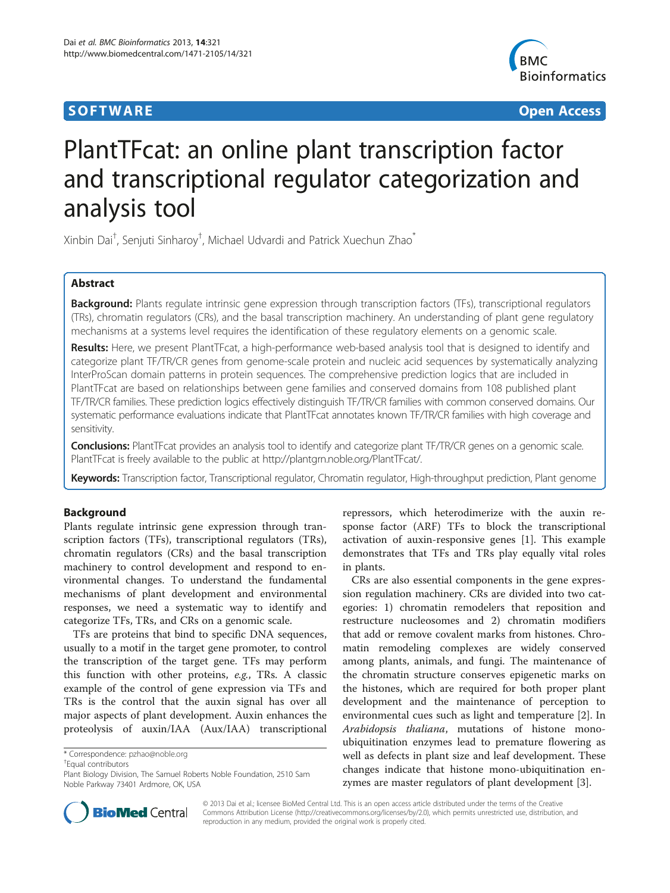# **SOFTWARE SOFTWARE** *CONSERVERSE EXECUTIVE EXECUTIVE EXECUTIVE EXECUTIVE EXECUTIVE EXECUTIVE EXECUTIVE EXECUTIVE EXECUTIVE EXECUTIVE EXECUTIVE EXECUTIVE EXECUTIVE EXECUTIVE EXECUTIVE EXECUTIVE EXECUTIVE EXECUTIVE EXECUT*



# PlantTFcat: an online plant transcription factor and transcriptional regulator categorization and analysis tool

Xinbin Dai† , Senjuti Sinharoy† , Michael Udvardi and Patrick Xuechun Zhao\*

# Abstract

Background: Plants regulate intrinsic gene expression through transcription factors (TFs), transcriptional regulators (TRs), chromatin regulators (CRs), and the basal transcription machinery. An understanding of plant gene regulatory mechanisms at a systems level requires the identification of these regulatory elements on a genomic scale.

Results: Here, we present PlantTFcat, a high-performance web-based analysis tool that is designed to identify and categorize plant TF/TR/CR genes from genome-scale protein and nucleic acid sequences by systematically analyzing InterProScan domain patterns in protein sequences. The comprehensive prediction logics that are included in PlantTFcat are based on relationships between gene families and conserved domains from 108 published plant TF/TR/CR families. These prediction logics effectively distinguish TF/TR/CR families with common conserved domains. Our systematic performance evaluations indicate that PlantTFcat annotates known TF/TR/CR families with high coverage and sensitivity.

Conclusions: PlantTFcat provides an analysis tool to identify and categorize plant TF/TR/CR genes on a genomic scale. PlantTFcat is freely available to the public at [http://plantgrn.noble.org/PlantTFcat/.](http://plantgrn.noble.org/PlantTFcat/)

Keywords: Transcription factor, Transcriptional regulator, Chromatin regulator, High-throughput prediction, Plant genome

# Background

Plants regulate intrinsic gene expression through transcription factors (TFs), transcriptional regulators (TRs), chromatin regulators (CRs) and the basal transcription machinery to control development and respond to environmental changes. To understand the fundamental mechanisms of plant development and environmental responses, we need a systematic way to identify and categorize TFs, TRs, and CRs on a genomic scale.

TFs are proteins that bind to specific DNA sequences, usually to a motif in the target gene promoter, to control the transcription of the target gene. TFs may perform this function with other proteins, e.g., TRs. A classic example of the control of gene expression via TFs and TRs is the control that the auxin signal has over all major aspects of plant development. Auxin enhances the proteolysis of auxin/IAA (Aux/IAA) transcriptional

Equal contributors

repressors, which heterodimerize with the auxin response factor (ARF) TFs to block the transcriptional activation of auxin-responsive genes [[1\]](#page-4-0). This example demonstrates that TFs and TRs play equally vital roles in plants.

CRs are also essential components in the gene expression regulation machinery. CRs are divided into two categories: 1) chromatin remodelers that reposition and restructure nucleosomes and 2) chromatin modifiers that add or remove covalent marks from histones. Chromatin remodeling complexes are widely conserved among plants, animals, and fungi. The maintenance of the chromatin structure conserves epigenetic marks on the histones, which are required for both proper plant development and the maintenance of perception to environmental cues such as light and temperature [[2\]](#page-4-0). In Arabidopsis thaliana, mutations of histone monoubiquitination enzymes lead to premature flowering as well as defects in plant size and leaf development. These changes indicate that histone mono-ubiquitination enzymes are master regulators of plant development [[3\]](#page-4-0).



© 2013 Dai et al.; licensee BioMed Central Ltd. This is an open access article distributed under the terms of the Creative Commons Attribution License [\(http://creativecommons.org/licenses/by/2.0\)](http://creativecommons.org/licenses/by/2.0), which permits unrestricted use, distribution, and reproduction in any medium, provided the original work is properly cited.

<sup>\*</sup> Correspondence: [pzhao@noble.org](mailto:pzhao@noble.org) †

Plant Biology Division, The Samuel Roberts Noble Foundation, 2510 Sam Noble Parkway 73401 Ardmore, OK, USA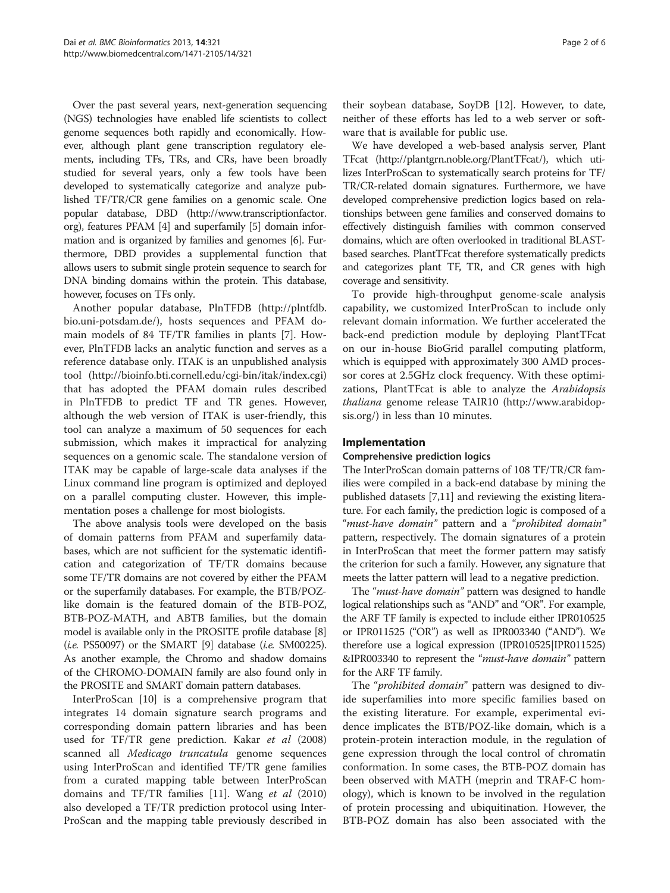Over the past several years, next-generation sequencing (NGS) technologies have enabled life scientists to collect genome sequences both rapidly and economically. However, although plant gene transcription regulatory elements, including TFs, TRs, and CRs, have been broadly studied for several years, only a few tools have been developed to systematically categorize and analyze published TF/TR/CR gene families on a genomic scale. One popular database, DBD [\(http://www.transcriptionfactor.](http://www.transcriptionfactor.org) [org\)](http://www.transcriptionfactor.org), features PFAM [\[4\]](#page-4-0) and superfamily [\[5](#page-4-0)] domain information and is organized by families and genomes [[6](#page-4-0)]. Furthermore, DBD provides a supplemental function that allows users to submit single protein sequence to search for DNA binding domains within the protein. This database, however, focuses on TFs only.

Another popular database, PlnTFDB ([http://plntfdb.](http://plntfdb.bio.uni-potsdam.de/) [bio.uni-potsdam.de/\)](http://plntfdb.bio.uni-potsdam.de/), hosts sequences and PFAM domain models of 84 TF/TR families in plants [[7\]](#page-4-0). However, PlnTFDB lacks an analytic function and serves as a reference database only. ITAK is an unpublished analysis tool (<http://bioinfo.bti.cornell.edu/cgi-bin/itak/index.cgi>) that has adopted the PFAM domain rules described in PlnTFDB to predict TF and TR genes. However, although the web version of ITAK is user-friendly, this tool can analyze a maximum of 50 sequences for each submission, which makes it impractical for analyzing sequences on a genomic scale. The standalone version of ITAK may be capable of large-scale data analyses if the Linux command line program is optimized and deployed on a parallel computing cluster. However, this implementation poses a challenge for most biologists.

The above analysis tools were developed on the basis of domain patterns from PFAM and superfamily databases, which are not sufficient for the systematic identification and categorization of TF/TR domains because some TF/TR domains are not covered by either the PFAM or the superfamily databases. For example, the BTB/POZlike domain is the featured domain of the BTB-POZ, BTB-POZ-MATH, and ABTB families, but the domain model is available only in the PROSITE profile database [[8](#page-4-0)]  $(i.e.$  PS50097) or the SMART [\[9\]](#page-4-0) database  $(i.e.$  SM00225). As another example, the Chromo and shadow domains of the CHROMO-DOMAIN family are also found only in the PROSITE and SMART domain pattern databases.

InterProScan [[10\]](#page-4-0) is a comprehensive program that integrates 14 domain signature search programs and corresponding domain pattern libraries and has been used for TF/TR gene prediction. Kakar et al (2008) scanned all Medicago truncatula genome sequences using InterProScan and identified TF/TR gene families from a curated mapping table between InterProScan domains and TF/TR families [\[11\]](#page-4-0). Wang et al (2010) also developed a TF/TR prediction protocol using Inter-ProScan and the mapping table previously described in their soybean database, SoyDB [\[12](#page-5-0)]. However, to date, neither of these efforts has led to a web server or software that is available for public use.

We have developed a web-based analysis server, Plant TFcat [\(http://plantgrn.noble.org/PlantTFcat/\)](http://plantgrn.noble.org/PlantTFcat/), which utilizes InterProScan to systematically search proteins for TF/ TR/CR-related domain signatures. Furthermore, we have developed comprehensive prediction logics based on relationships between gene families and conserved domains to effectively distinguish families with common conserved domains, which are often overlooked in traditional BLASTbased searches. PlantTFcat therefore systematically predicts and categorizes plant TF, TR, and CR genes with high coverage and sensitivity.

To provide high-throughput genome-scale analysis capability, we customized InterProScan to include only relevant domain information. We further accelerated the back-end prediction module by deploying PlantTFcat on our in-house BioGrid parallel computing platform, which is equipped with approximately 300 AMD processor cores at 2.5GHz clock frequency. With these optimizations, PlantTFcat is able to analyze the Arabidopsis thaliana genome release TAIR10 [\(http://www.arabidop](http://www.arabidopsis.org/)[sis.org/](http://www.arabidopsis.org/)) in less than 10 minutes.

#### Implementation

# Comprehensive prediction logics

The InterProScan domain patterns of 108 TF/TR/CR families were compiled in a back-end database by mining the published datasets [\[7,11\]](#page-4-0) and reviewing the existing literature. For each family, the prediction logic is composed of a "must-have domain" pattern and a "prohibited domain" pattern, respectively. The domain signatures of a protein in InterProScan that meet the former pattern may satisfy the criterion for such a family. However, any signature that meets the latter pattern will lead to a negative prediction.

The "*must-have domain*" pattern was designed to handle logical relationships such as "AND" and "OR". For example, the ARF TF family is expected to include either IPR010525 or IPR011525 ("OR") as well as IPR003340 ("AND"). We therefore use a logical expression (IPR010525|IPR011525) &IPR003340 to represent the "*must-have domain*" pattern for the ARF TF family.

The "*prohibited domain*" pattern was designed to divide superfamilies into more specific families based on the existing literature. For example, experimental evidence implicates the BTB/POZ-like domain, which is a protein-protein interaction module, in the regulation of gene expression through the local control of chromatin conformation. In some cases, the BTB-POZ domain has been observed with MATH (meprin and TRAF-C homology), which is known to be involved in the regulation of protein processing and ubiquitination. However, the BTB-POZ domain has also been associated with the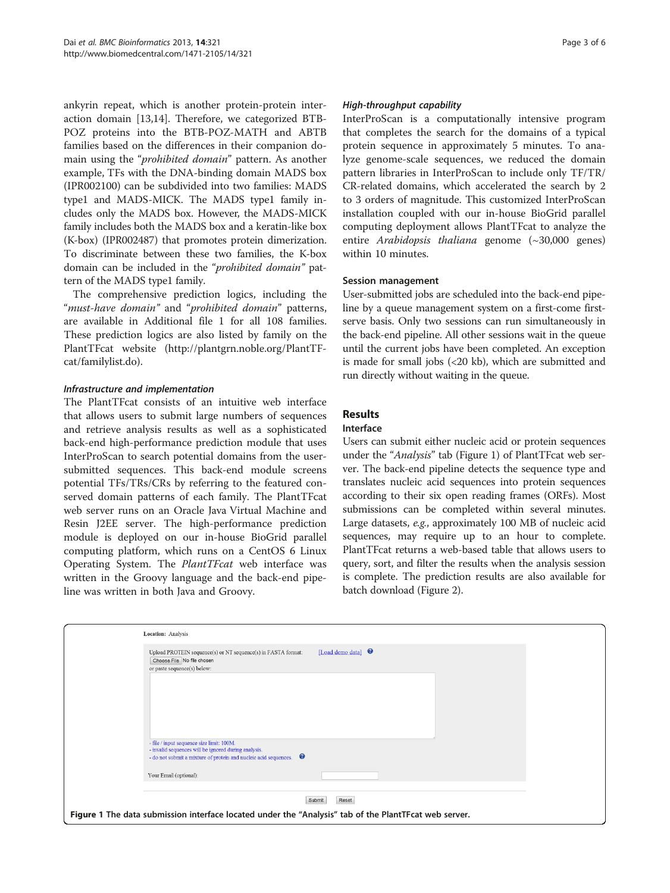ankyrin repeat, which is another protein-protein interaction domain [\[13,14](#page-5-0)]. Therefore, we categorized BTB-POZ proteins into the BTB-POZ-MATH and ABTB families based on the differences in their companion domain using the "prohibited domain" pattern. As another example, TFs with the DNA-binding domain MADS box (IPR002100) can be subdivided into two families: MADS type1 and MADS-MICK. The MADS type1 family includes only the MADS box. However, the MADS-MICK family includes both the MADS box and a keratin-like box (K-box) (IPR002487) that promotes protein dimerization. To discriminate between these two families, the K-box domain can be included in the "prohibited domain" pattern of the MADS type1 family.

The comprehensive prediction logics, including the "must-have domain" and "prohibited domain" patterns, are available in Additional file [1](#page-4-0) for all 108 families. These prediction logics are also listed by family on the PlantTFcat website [\(http://plantgrn.noble.org/PlantTF](http://plantgrn.noble.org/PlantTFcat/familylist.do)[cat/familylist.do\)](http://plantgrn.noble.org/PlantTFcat/familylist.do).

#### Infrastructure and implementation

The PlantTFcat consists of an intuitive web interface that allows users to submit large numbers of sequences and retrieve analysis results as well as a sophisticated back-end high-performance prediction module that uses InterProScan to search potential domains from the usersubmitted sequences. This back-end module screens potential TFs/TRs/CRs by referring to the featured conserved domain patterns of each family. The PlantTFcat web server runs on an Oracle Java Virtual Machine and Resin J2EE server. The high-performance prediction module is deployed on our in-house BioGrid parallel computing platform, which runs on a CentOS 6 Linux Operating System. The *PlantTFcat* web interface was written in the Groovy language and the back-end pipeline was written in both Java and Groovy.

#### High-throughput capability

InterProScan is a computationally intensive program that completes the search for the domains of a typical protein sequence in approximately 5 minutes. To analyze genome-scale sequences, we reduced the domain pattern libraries in InterProScan to include only TF/TR/ CR-related domains, which accelerated the search by 2 to 3 orders of magnitude. This customized InterProScan installation coupled with our in-house BioGrid parallel computing deployment allows PlantTFcat to analyze the entire Arabidopsis thaliana genome (~30,000 genes) within 10 minutes.

#### Session management

User-submitted jobs are scheduled into the back-end pipeline by a queue management system on a first-come firstserve basis. Only two sessions can run simultaneously in the back-end pipeline. All other sessions wait in the queue until the current jobs have been completed. An exception is made for small jobs (<20 kb), which are submitted and run directly without waiting in the queue.

# Results

#### Interface

Users can submit either nucleic acid or protein sequences under the "Analysis" tab (Figure 1) of PlantTFcat web server. The back-end pipeline detects the sequence type and translates nucleic acid sequences into protein sequences according to their six open reading frames (ORFs). Most submissions can be completed within several minutes. Large datasets, e.g., approximately 100 MB of nucleic acid sequences, may require up to an hour to complete. PlantTFcat returns a web-based table that allows users to query, sort, and filter the results when the analysis session is complete. The prediction results are also available for batch download (Figure [2\)](#page-3-0).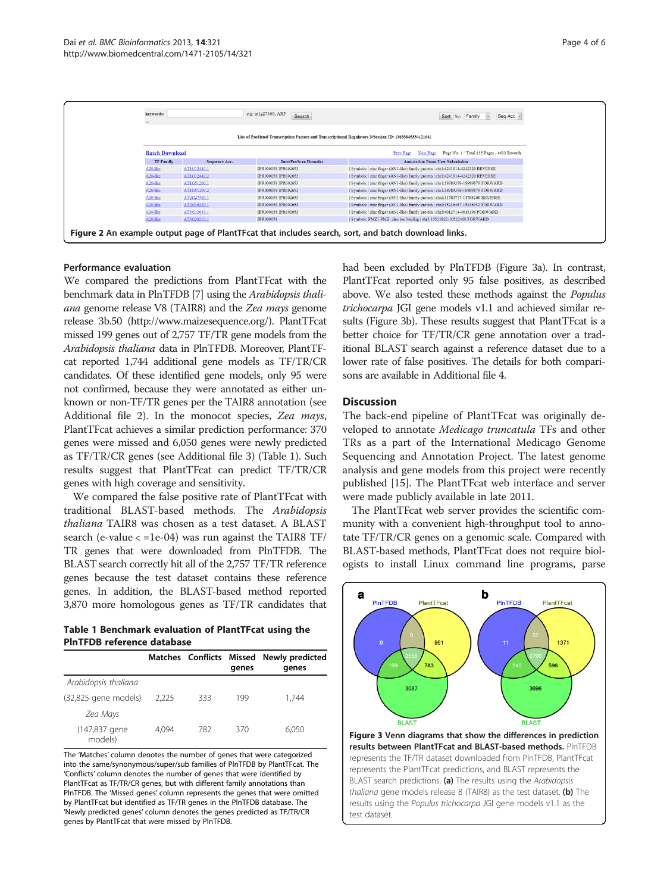<span id="page-3-0"></span>

| keywords:             |               | e.g. at1g27360, ARF<br>Search | Sort by: Family<br>Seq Acc. -<br>$\sim$                                                                |  |  |
|-----------------------|---------------|-------------------------------|--------------------------------------------------------------------------------------------------------|--|--|
|                       |               |                               |                                                                                                        |  |  |
|                       |               |                               | List of Predicted Transcription Factors and Transcriptional Regulators [#Session ID: 1363384533412164] |  |  |
| <b>Batch Download</b> |               |                               | Next Page Page No. 1 / Total 155 Pages , 4633 Records<br>Prev Page                                     |  |  |
| <b>TF Family</b>      | Sequence Acc. | <b>InterProScan Domains</b>   | <b>Annotation From User Submission</b>                                                                 |  |  |
| A20-like              | AT1G12440.1   | IPR000058 IPR002653           | Symbols:   zinc finger (AN1-like) family protein   chr1:4241814-4242320 REVERSE                        |  |  |
| A20-like              | AT1G12440.2   | <b>IPR000058 IPR002653</b>    | Symbols:   zinc finger (AN1-like) family protein   chr1:4241814-4242320 REVERSE                        |  |  |
| A20-like              | AT1G51200.1   | IPR000058 IPR002653           | Symbols:   zinc finger (AN1-like) family protein   chr1:18989358-18989879 FORWARD                      |  |  |
| A20-like              | AT1G51200.2   | IPR000058 IPR002653           | Symbols:   zinc finger (AN1-like) family protein   chr1:18989358-18989879 FORWARD                      |  |  |
| A20-like              | AT2G27580.1   | IPR000058 IPR002653           | Symbols:   zinc finger (AN1-like) family protein   chr2:11783717-11784208 REVERSE                      |  |  |
| A20-like              | AT2G36320.1   | <b>IPR000058 IPR002653</b>    | Symbols:   zinc finger (AN1-like) family protein   chr2:15236467-15236952 FORWARD                      |  |  |
| A20-like              | AT3G12630.1   | IPR000058 IPR002653           | Symbols:   zinc finger (AN1-like) family protein   chr3:4012714-4013196 FORWARD                        |  |  |
| A20-like              | AT3G28210.1   | <b>IPR000058</b>              | Symbols: PMZ   PMZ; zinc ion binding   chr3:10521822-10522460 FORWARD                                  |  |  |

#### Performance evaluation

We compared the predictions from PlantTFcat with the benchmark data in PlnTFDB [[7](#page-4-0)] using the Arabidopsis thaliana genome release V8 (TAIR8) and the Zea mays genome release 3b.50 [\(http://www.maizesequence.org/\)](http://www.maizesequence.org/). PlantTFcat missed 199 genes out of 2,757 TF/TR gene models from the Arabidopsis thaliana data in PlnTFDB. Moreover, PlantTFcat reported 1,744 additional gene models as TF/TR/CR candidates. Of these identified gene models, only 95 were not confirmed, because they were annotated as either unknown or non-TF/TR genes per the TAIR8 annotation (see Additional file [2\)](#page-4-0). In the monocot species, Zea mays, PlantTFcat achieves a similar prediction performance: 370 genes were missed and 6,050 genes were newly predicted as TF/TR/CR genes (see Additional file [3](#page-4-0)) (Table 1). Such results suggest that PlantTFcat can predict TF/TR/CR genes with high coverage and sensitivity.

We compared the false positive rate of PlantTFcat with traditional BLAST-based methods. The Arabidopsis thaliana TAIR8 was chosen as a test dataset. A BLAST search (e-value  $\langle$  =1e-04) was run against the TAIR8 TF/ TR genes that were downloaded from PlnTFDB. The BLAST search correctly hit all of the 2,757 TF/TR reference genes because the test dataset contains these reference genes. In addition, the BLAST-based method reported 3,870 more homologous genes as TF/TR candidates that

Table 1 Benchmark evaluation of PlantTFcat using the PlnTFDB reference database

|                                    |       |     | genes | Matches Conflicts Missed Newly predicted<br>genes |
|------------------------------------|-------|-----|-------|---------------------------------------------------|
| Arabidopsis thaliana               |       |     |       |                                                   |
| $(32,825$ gene models)<br>Zea Mays | 2.225 | 333 | 199   | 1.744                                             |
| (147,837 gene<br>models)           | 4.094 | 782 | 370   | 6.050                                             |

The 'Matches' column denotes the number of genes that were categorized into the same/synonymous/super/sub families of PlnTFDB by PlantTFcat. The 'Conflicts' column denotes the number of genes that were identified by PlantTFcat as TF/TR/CR genes, but with different family annotations than PlnTFDB. The 'Missed genes' column represents the genes that were omitted by PlantTFcat but identified as TF/TR genes in the PlnTFDB database. The 'Newly predicted genes' column denotes the genes predicted as TF/TR/CR genes by PlantTFcat that were missed by PlnTFDB.

had been excluded by PlnTFDB (Figure 3a). In contrast, PlantTFcat reported only 95 false positives, as described above. We also tested these methods against the *Populus* trichocarpa JGI gene models v1.1 and achieved similar results (Figure 3b). These results suggest that PlantTFcat is a better choice for TF/TR/CR gene annotation over a traditional BLAST search against a reference dataset due to a lower rate of false positives. The details for both comparisons are available in Additional file [4](#page-4-0).

#### **Discussion**

The back-end pipeline of PlantTFcat was originally developed to annotate Medicago truncatula TFs and other TRs as a part of the International Medicago Genome Sequencing and Annotation Project. The latest genome analysis and gene models from this project were recently published [[15\]](#page-5-0). The PlantTFcat web interface and server were made publicly available in late 2011.

The PlantTFcat web server provides the scientific community with a convenient high-throughput tool to annotate TF/TR/CR genes on a genomic scale. Compared with BLAST-based methods, PlantTFcat does not require biologists to install Linux command line programs, parse



results between PlantTFcat and BLAST-based methods. PlnTFDB represents the TF/TR dataset downloaded from PlnTFDB, PlantTFcat represents the PlantTFcat predictions, and BLAST represents the BLAST search predictions. (a) The results using the Arabidopsis thaliana gene models release 8 (TAIR8) as the test dataset. (b) The results using the Populus trichocarpa JGI gene models v1.1 as the test dataset.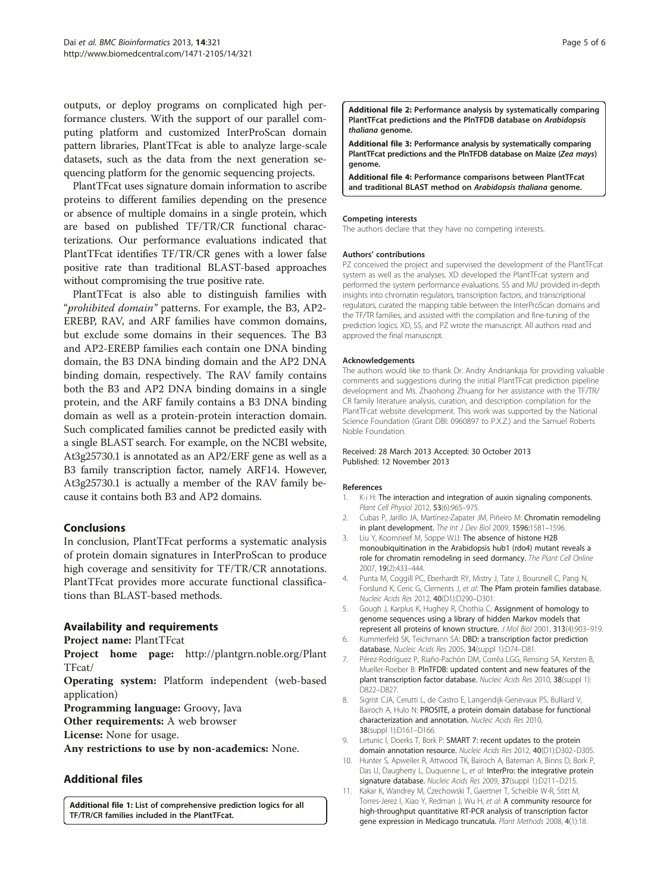<span id="page-4-0"></span>outputs, or deploy programs on complicated high performance clusters. With the support of our parallel computing platform and customized InterProScan domain pattern libraries, PlantTFcat is able to analyze large-scale datasets, such as the data from the next generation sequencing platform for the genomic sequencing projects.

PlantTFcat uses signature domain information to ascribe proteins to different families depending on the presence or absence of multiple domains in a single protein, which are based on published TF/TR/CR functional characterizations. Our performance evaluations indicated that PlantTFcat identifies TF/TR/CR genes with a lower false positive rate than traditional BLAST-based approaches without compromising the true positive rate.

PlantTFcat is also able to distinguish families with "prohibited domain" patterns. For example, the B3, AP2- EREBP, RAV, and ARF families have common domains, but exclude some domains in their sequences. The B3 and AP2-EREBP families each contain one DNA binding domain, the B3 DNA binding domain and the AP2 DNA binding domain, respectively. The RAV family contains both the B3 and AP2 DNA binding domains in a single protein, and the ARF family contains a B3 DNA binding domain as well as a protein-protein interaction domain. Such complicated families cannot be predicted easily with a single BLAST search. For example, on the NCBI website, At3g25730.1 is annotated as an AP2/ERF gene as well as a B3 family transcription factor, namely ARF14. However, At3g25730.1 is actually a member of the RAV family because it contains both B3 and AP2 domains.

# Conclusions

In conclusion, PlantTFcat performs a systematic analysis of protein domain signatures in InterProScan to produce high coverage and sensitivity for TF/TR/CR annotations. PlantTFcat provides more accurate functional classifications than BLAST-based methods.

# Availability and requirements

Project name: PlantTFcat

Project home page: [http://plantgrn.noble.org/Plant](http://plantgrn.noble.org/PlantTFcat/) [TFcat/](http://plantgrn.noble.org/PlantTFcat/)

Operating system: Platform independent (web-based application)

Programming language: Groovy, Java

Other requirements: A web browser

License: None for usage.

Any restrictions to use by non-academics: None.

# Additional files

[Additional file 1:](http://www.biomedcentral.com/content/supplementary/1471-2105-14-321-S1.xlsx) List of comprehensive prediction logics for all TF/TR/CR families included in the PlantTFcat.

[Additional file 3:](http://www.biomedcentral.com/content/supplementary/1471-2105-14-321-S3.xlsx) Performance analysis by systematically comparing PlantTFcat predictions and the PlnTFDB database on Maize (Zea mays) genome.

[Additional file 4:](http://www.biomedcentral.com/content/supplementary/1471-2105-14-321-S4.xlsx) Performance comparisons between PlantTFcat and traditional BLAST method on Arabidopsis thaliana genome.

#### Competing interests

The authors declare that they have no competing interests.

#### Authors' contributions

PZ conceived the project and supervised the development of the PlantTFcat system as well as the analyses. XD developed the PlantTFcat system and performed the system performance evaluations. SS and MU provided in-depth insights into chromatin regulators, transcription factors, and transcriptional regulators, curated the mapping table between the InterProScan domains and the TF/TR families, and assisted with the compilation and fine-tuning of the prediction logics. XD, SS, and PZ wrote the manuscript. All authors read and approved the final manuscript.

#### Acknowledgements

The authors would like to thank Dr. Andry Andriankaja for providing valuable comments and suggestions during the initial PlantTFcat prediction pipeline development and Ms. Zhaohong Zhuang for her assistance with the TF/TR/ CR family literature analysis, curation, and description compilation for the PlantTFcat website development. This work was supported by the National Science Foundation (Grant DBI: 0960897 to P.X.Z.) and the Samuel Roberts Noble Foundation.

#### Received: 28 March 2013 Accepted: 30 October 2013 Published: 12 November 2013

#### References

- 1. K-i H: The interaction and integration of auxin signaling components. Plant Cell Physiol 2012, 53(6):965–975.
- 2. Cubas P, Jarillo JA, Martínez-Zapater JM, Piñeiro M: Chromatin remodeling in plant development. The Int J Dev Biol 2009, 1596:1581–1596.
- 3. Liu Y, Koornneef M, Soppe WJJ: The absence of histone H2B monoubiquitination in the Arabidopsis hub1 (rdo4) mutant reveals a role for chromatin remodeling in seed dormancy. The Plant Cell Online 2007, 19(2):433–444.
- 4. Punta M, Coggill PC, Eberhardt RY, Mistry J, Tate J, Boursnell C, Pang N, Forslund K, Ceric G, Clements J, et al: The Pfam protein families database. Nucleic Acids Res 2012, 40(D1):D290–D301.
- 5. Gough J, Karplus K, Hughey R, Chothia C: Assignment of homology to genome sequences using a library of hidden Markov models that represent all proteins of known structure. J Mol Biol 2001, 313(4):903–919.
- 6. Kummerfeld SK, Teichmann SA: DBD: a transcription factor prediction database. Nucleic Acids Res 2005, 34(suppl 1):D74–D81.
- 7. Pérez-Rodríguez P, Riaño-Pachón DM, Corrêa LGG, Rensing SA, Kersten B, Mueller-Roeber B: PlnTFDB: updated content and new features of the plant transcription factor database. Nucleic Acids Res 2010, 38(suppl 1): D822-D827
- 8. Sigrist CJA, Cerutti L, de Castro E, Langendijk-Genevaux PS, Bulliard V, Bairoch A, Hulo N: PROSITE, a protein domain database for functional characterization and annotation. Nucleic Acids Res 2010, 38(suppl 1):D161–D166.
- 9. Letunic I, Doerks T, Bork P: SMART 7: recent updates to the protein domain annotation resource. Nucleic Acids Res 2012, 40(D1):D302–D305.
- 10. Hunter S, Apweiler R, Attwood TK, Bairoch A, Bateman A, Binns D, Bork P, Das U, Daugherty L, Duquenne L, et al: InterPro: the integrative protein signature database. Nucleic Acids Res 2009, 37(suppl 1):D211–D215.
- 11. Kakar K, Wandrey M, Czechowski T, Gaertner T, Scheible W-R, Stitt M, Torres-Jerez I, Xiao Y, Redman J, Wu H, et al: A community resource for high-throughput quantitative RT-PCR analysis of transcription factor gene expression in Medicago truncatula. Plant Methods 2008, 4(1):18.